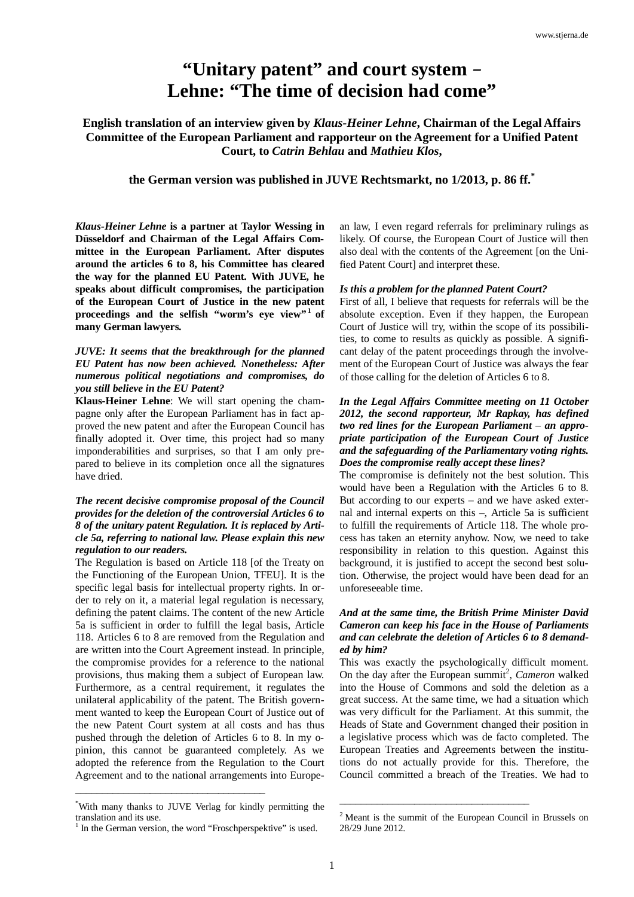# **"Unitary patent" and court system** – **Lehne: "The time of decision had come"**

**English translation of an interview given by** *Klaus-Heiner Lehne***, Chairman of the Legal Affairs Committee of the European Parliament and rapporteur on the Agreement for a Unified Patent Court, to** *Catrin Behlau* **and** *Mathieu Klos***,**

**the German version was published in JUVE Rechtsmarkt, no 1/2013, p. 86 ff.\***

*Klaus-Heiner Lehne* **is a partner at Taylor Wessing in Düsseldorf and Chairman of the Legal Affairs Committee in the European Parliament. After disputes around the articles 6 to 8, his Committee has cleared the way for the planned EU Patent. With JUVE, he speaks about difficult compromises, the participation of the European Court of Justice in the new patent proceedings and the selfish "worm's eye view"1 of many German lawyers.**

## *JUVE: It seems that the breakthrough for the planned EU Patent has now been achieved. Nonetheless: After numerous political negotiations and compromises, do you still believe in the EU Patent?*

**Klaus-Heiner Lehne**: We will start opening the champagne only after the European Parliament has in fact approved the new patent and after the European Council has finally adopted it. Over time, this project had so many imponderabilities and surprises, so that I am only prepared to believe in its completion once all the signatures have dried.

# *The recent decisive compromise proposal of the Council provides for the deletion of the controversial Articles 6 to 8 of the unitary patent Regulation. It is replaced by Article 5a, referring to national law. Please explain this new regulation to our readers.*

The Regulation is based on Article 118 [of the Treaty on the Functioning of the European Union, TFEU]. It is the specific legal basis for intellectual property rights. In order to rely on it, a material legal regulation is necessary, defining the patent claims. The content of the new Article 5a is sufficient in order to fulfill the legal basis, Article 118. Articles 6 to 8 are removed from the Regulation and are written into the Court Agreement instead. In principle, the compromise provides for a reference to the national provisions, thus making them a subject of European law. Furthermore, as a central requirement, it regulates the unilateral applicability of the patent. The British government wanted to keep the European Court of Justice out of the new Patent Court system at all costs and has thus pushed through the deletion of Articles 6 to 8. In my opinion, this cannot be guaranteed completely. As we adopted the reference from the Regulation to the Court Agreement and to the national arrangements into Europe-

\_\_\_\_\_\_\_\_\_\_\_\_\_\_\_\_\_\_\_\_\_\_\_\_\_\_\_\_\_\_\_\_\_\_\_\_

an law, I even regard referrals for preliminary rulings as likely. Of course, the European Court of Justice will then also deal with the contents of the Agreement [on the Unified Patent Court] and interpret these.

### *Is this a problem for the planned Patent Court?*

First of all, I believe that requests for referrals will be the absolute exception. Even if they happen, the European Court of Justice will try, within the scope of its possibilities, to come to results as quickly as possible. A significant delay of the patent proceedings through the involvement of the European Court of Justice was always the fear of those calling for the deletion of Articles 6 to 8.

# *In the Legal Affairs Committee meeting on 11 October 2012, the second rapporteur, Mr Rapkay, has defined two red lines for the European Parliament – an appropriate participation of the European Court of Justice and the safeguarding of the Parliamentary voting rights. Does the compromise really accept these lines?*

The compromise is definitely not the best solution. This would have been a Regulation with the Articles 6 to 8. But according to our experts *–* and we have asked external and internal experts on this *–*, Article 5a is sufficient to fulfill the requirements of Article 118. The whole process has taken an eternity anyhow. Now, we need to take responsibility in relation to this question. Against this background, it is justified to accept the second best solution. Otherwise, the project would have been dead for an unforeseeable time.

# *And at the same time, the British Prime Minister David Cameron can keep his face in the House of Parliaments and can celebrate the deletion of Articles 6 to 8 demanded by him?*

This was exactly the psychologically difficult moment. On the day after the European summit<sup>2</sup>, Cameron walked into the House of Commons and sold the deletion as a great success. At the same time, we had a situation which was very difficult for the Parliament. At this summit, the Heads of State and Government changed their position in a legislative process which was de facto completed. The European Treaties and Agreements between the institutions do not actually provide for this. Therefore, the Council committed a breach of the Treaties. We had to

\_\_\_\_\_\_\_\_\_\_\_\_\_\_\_\_\_\_\_\_\_\_\_\_\_\_\_\_\_\_\_\_\_\_\_\_

<sup>\*</sup> With many thanks to JUVE Verlag for kindly permitting the translation and its use.

<sup>&</sup>lt;sup>1</sup> In the German version, the word "Froschperspektive" is used.

<sup>&</sup>lt;sup>2</sup> Meant is the summit of the European Council in Brussels on 28/29 June 2012.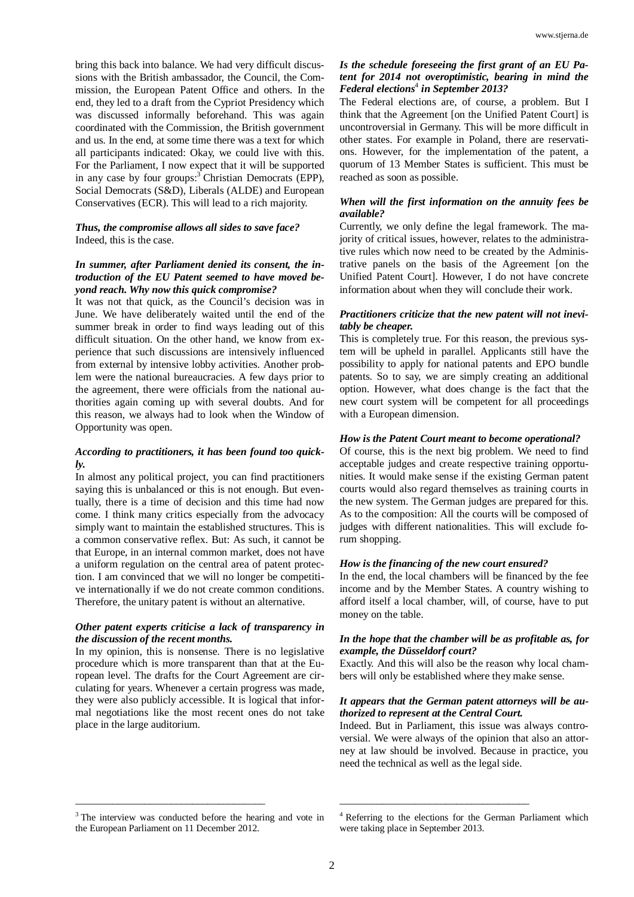bring this back into balance. We had very difficult discussions with the British ambassador, the Council, the Commission, the European Patent Office and others. In the end, they led to a draft from the Cypriot Presidency which was discussed informally beforehand. This was again coordinated with the Commission, the British government and us. In the end, at some time there was a text for which all participants indicated: Okay, we could live with this. For the Parliament, I now expect that it will be supported in any case by four groups:<sup>3</sup> Christian Democrats (EPP), Social Democrats (S&D), Liberals (ALDE) and European Conservatives (ECR). This will lead to a rich majority.

# *Thus, the compromise allows all sides to save face?* Indeed, this is the case.

## *In summer, after Parliament denied its consent, the introduction of the EU Patent seemed to have moved beyond reach. Why now this quick compromise?*

It was not that quick, as the Council's decision was in June. We have deliberately waited until the end of the summer break in order to find ways leading out of this difficult situation. On the other hand, we know from experience that such discussions are intensively influenced from external by intensive lobby activities. Another problem were the national bureaucracies. A few days prior to the agreement, there were officials from the national authorities again coming up with several doubts. And for this reason, we always had to look when the Window of Opportunity was open.

# *According to practitioners, it has been found too quickly.*

In almost any political project, you can find practitioners saying this is unbalanced or this is not enough. But eventually, there is a time of decision and this time had now come. I think many critics especially from the advocacy simply want to maintain the established structures. This is a common conservative reflex. But: As such, it cannot be that Europe, in an internal common market, does not have a uniform regulation on the central area of patent protection. I am convinced that we will no longer be competitive internationally if we do not create common conditions. Therefore, the unitary patent is without an alternative.

# *Other patent experts criticise a lack of transparency in the discussion of the recent months.*

In my opinion, this is nonsense. There is no legislative procedure which is more transparent than that at the European level. The drafts for the Court Agreement are circulating for years. Whenever a certain progress was made, they were also publicly accessible. It is logical that informal negotiations like the most recent ones do not take place in the large auditorium.

# *Is the schedule foreseeing the first grant of an EU Patent for 2014 not overoptimistic, bearing in mind the Federal elections*<sup>4</sup>  *in September 2013?*

The Federal elections are, of course, a problem. But I think that the Agreement [on the Unified Patent Court] is uncontroversial in Germany. This will be more difficult in other states. For example in Poland, there are reservations. However, for the implementation of the patent, a quorum of 13 Member States is sufficient. This must be reached as soon as possible.

## *When will the first information on the annuity fees be available?*

Currently, we only define the legal framework. The majority of critical issues, however, relates to the administrative rules which now need to be created by the Administrative panels on the basis of the Agreement [on the Unified Patent Court]. However, I do not have concrete information about when they will conclude their work.

## *Practitioners criticize that the new patent will not inevitably be cheaper.*

This is completely true. For this reason, the previous system will be upheld in parallel. Applicants still have the possibility to apply for national patents and EPO bundle patents. So to say, we are simply creating an additional option. However, what does change is the fact that the new court system will be competent for all proceedings with a European dimension.

#### *How is the Patent Court meant to become operational?*

Of course, this is the next big problem. We need to find acceptable judges and create respective training opportunities. It would make sense if the existing German patent courts would also regard themselves as training courts in the new system. The German judges are prepared for this. As to the composition: All the courts will be composed of judges with different nationalities. This will exclude forum shopping.

## *How is the financing of the new court ensured?*

In the end, the local chambers will be financed by the fee income and by the Member States. A country wishing to afford itself a local chamber, will, of course, have to put money on the table.

### *In the hope that the chamber will be as profitable as, for example, the Düsseldorf court?*

Exactly. And this will also be the reason why local chambers will only be established where they make sense.

#### *It appears that the German patent attorneys will be authorized to represent at the Central Court.*

Indeed. But in Parliament, this issue was always controversial. We were always of the opinion that also an attorney at law should be involved. Because in practice, you need the technical as well as the legal side.

\_\_\_\_\_\_\_\_\_\_\_\_\_\_\_\_\_\_\_\_\_\_\_\_\_\_\_\_\_\_\_\_\_\_\_\_

\_\_\_\_\_\_\_\_\_\_\_\_\_\_\_\_\_\_\_\_\_\_\_\_\_\_\_\_\_\_\_\_\_\_\_\_

<sup>&</sup>lt;sup>3</sup> The interview was conducted before the hearing and vote in the European Parliament on 11 December 2012.

<sup>&</sup>lt;sup>4</sup> Referring to the elections for the German Parliament which were taking place in September 2013.